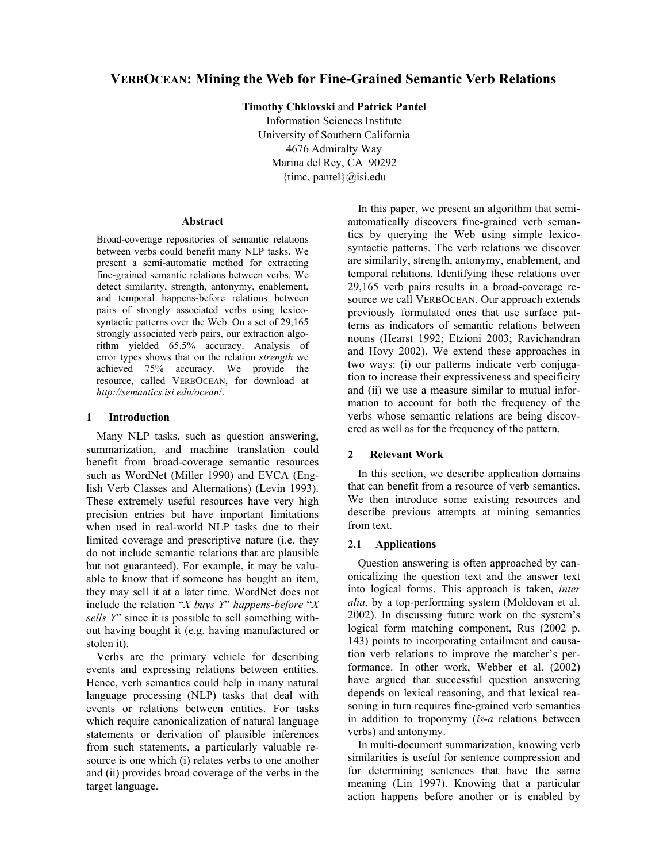# **VERBOCEAN: Mining the Web for Fine-Grained Semantic Verb Relations**

**Timothy Chklovski** and **Patrick Pantel** 

Information Sciences Institute University of Southern California 4676 Admiralty Way Marina del Rey, CA 90292  ${\{time, pantel\}}\omega$ isi.edu

#### **Abstract**

Broad-coverage repositories of semantic relations between verbs could benefit many NLP tasks. We present a semi-automatic method for extracting fine-grained semantic relations between verbs. We detect similarity, strength, antonymy, enablement, and temporal happens-before relations between pairs of strongly associated verbs using lexicosyntactic patterns over the Web. On a set of 29,165 strongly associated verb pairs, our extraction algorithm yielded 65.5% accuracy. Analysis of error types shows that on the relation *strength* we achieved 75% accuracy. We provide the resource, called VERBOCEAN, for download at *http://semantics.isi.edu/ocean*/.

# **1 Introduction**

Many NLP tasks, such as question answering, summarization, and machine translation could benefit from broad-coverage semantic resources such as WordNet (Miller 1990) and EVCA (English Verb Classes and Alternations) (Levin 1993). These extremely useful resources have very high precision entries but have important limitations when used in real-world NLP tasks due to their limited coverage and prescriptive nature (i.e. they do not include semantic relations that are plausible but not guaranteed). For example, it may be valuable to know that if someone has bought an item, they may sell it at a later time. WordNet does not include the relation  $X$  *buys Y*<sup>*'*</sup> *happens-before*  $X$ *sells Y*î since it is possible to sell something without having bought it (e.g. having manufactured or stolen it).

Verbs are the primary vehicle for describing events and expressing relations between entities. Hence, verb semantics could help in many natural language processing (NLP) tasks that deal with events or relations between entities. For tasks which require canonicalization of natural language statements or derivation of plausible inferences from such statements, a particularly valuable resource is one which (i) relates verbs to one another and (ii) provides broad coverage of the verbs in the target language.

In this paper, we present an algorithm that semiautomatically discovers fine-grained verb semantics by querying the Web using simple lexicosyntactic patterns. The verb relations we discover are similarity, strength, antonymy, enablement, and temporal relations. Identifying these relations over 29,165 verb pairs results in a broad-coverage resource we call VERBOCEAN. Our approach extends previously formulated ones that use surface patterns as indicators of semantic relations between nouns (Hearst 1992; Etzioni 2003; Ravichandran and Hovy 2002). We extend these approaches in two ways: (i) our patterns indicate verb conjugation to increase their expressiveness and specificity and (ii) we use a measure similar to mutual information to account for both the frequency of the verbs whose semantic relations are being discovered as well as for the frequency of the pattern.

# **2 Relevant Work**

In this section, we describe application domains that can benefit from a resource of verb semantics. We then introduce some existing resources and describe previous attempts at mining semantics from text.

# **2.1 Applications**

Question answering is often approached by canonicalizing the question text and the answer text into logical forms. This approach is taken, *inter alia*, by a top-performing system (Moldovan et al. 2002). In discussing future work on the system's logical form matching component, Rus (2002 p. 143) points to incorporating entailment and causation verb relations to improve the matcher's performance. In other work, Webber et al. (2002) have argued that successful question answering depends on lexical reasoning, and that lexical reasoning in turn requires fine-grained verb semantics in addition to troponymy (*is-a* relations between verbs) and antonymy.

In multi-document summarization, knowing verb similarities is useful for sentence compression and for determining sentences that have the same meaning (Lin 1997). Knowing that a particular action happens before another or is enabled by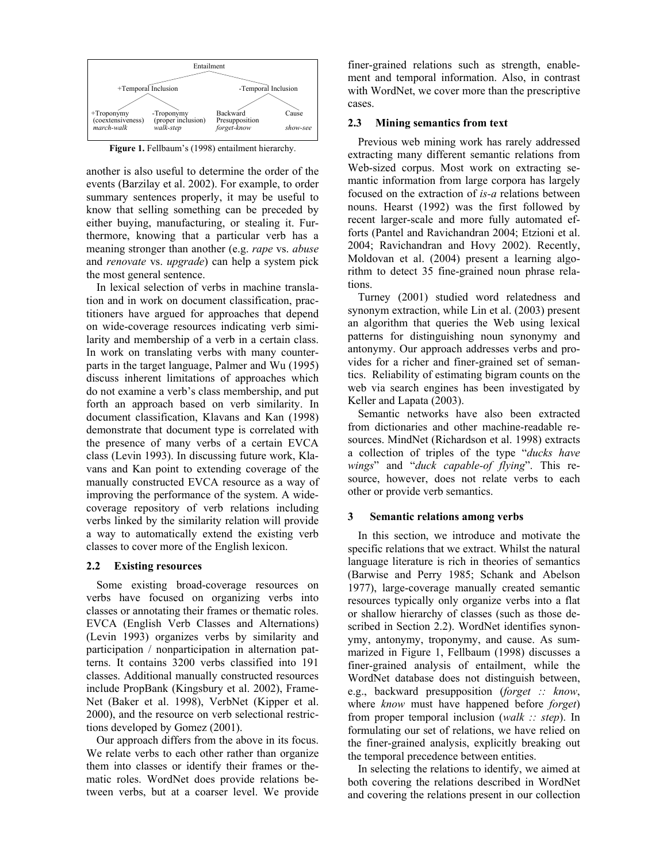

Figure 1. Fellbaum's (1998) entailment hierarchy.

another is also useful to determine the order of the events (Barzilay et al. 2002). For example, to order summary sentences properly, it may be useful to know that selling something can be preceded by either buying, manufacturing, or stealing it. Furthermore, knowing that a particular verb has a meaning stronger than another (e.g. *rape* vs. *abuse* and *renovate* vs. *upgrade*) can help a system pick the most general sentence.

In lexical selection of verbs in machine translation and in work on document classification, practitioners have argued for approaches that depend on wide-coverage resources indicating verb similarity and membership of a verb in a certain class. In work on translating verbs with many counterparts in the target language, Palmer and Wu (1995) discuss inherent limitations of approaches which do not examine a verb's class membership, and put forth an approach based on verb similarity. In document classification, Klavans and Kan (1998) demonstrate that document type is correlated with the presence of many verbs of a certain EVCA class (Levin 1993). In discussing future work, Klavans and Kan point to extending coverage of the manually constructed EVCA resource as a way of improving the performance of the system. A widecoverage repository of verb relations including verbs linked by the similarity relation will provide a way to automatically extend the existing verb classes to cover more of the English lexicon.

## **2.2 Existing resources**

Some existing broad-coverage resources on verbs have focused on organizing verbs into classes or annotating their frames or thematic roles. EVCA (English Verb Classes and Alternations) (Levin 1993) organizes verbs by similarity and participation / nonparticipation in alternation patterns. It contains 3200 verbs classified into 191 classes. Additional manually constructed resources include PropBank (Kingsbury et al. 2002), Frame-Net (Baker et al. 1998), VerbNet (Kipper et al. 2000), and the resource on verb selectional restrictions developed by Gomez (2001).

Our approach differs from the above in its focus. We relate verbs to each other rather than organize them into classes or identify their frames or thematic roles. WordNet does provide relations between verbs, but at a coarser level. We provide

finer-grained relations such as strength, enablement and temporal information. Also, in contrast with WordNet, we cover more than the prescriptive cases.

# **2.3 Mining semantics from text**

Previous web mining work has rarely addressed extracting many different semantic relations from Web-sized corpus. Most work on extracting semantic information from large corpora has largely focused on the extraction of *is-a* relations between nouns. Hearst (1992) was the first followed by recent larger-scale and more fully automated efforts (Pantel and Ravichandran 2004; Etzioni et al. 2004; Ravichandran and Hovy 2002). Recently, Moldovan et al. (2004) present a learning algorithm to detect 35 fine-grained noun phrase relations.

Turney (2001) studied word relatedness and synonym extraction, while Lin et al. (2003) present an algorithm that queries the Web using lexical patterns for distinguishing noun synonymy and antonymy. Our approach addresses verbs and provides for a richer and finer-grained set of semantics. Reliability of estimating bigram counts on the web via search engines has been investigated by Keller and Lapata (2003).

Semantic networks have also been extracted from dictionaries and other machine-readable resources. MindNet (Richardson et al. 1998) extracts a collection of triples of the type *"ducks have wings*" and "*duck capable-of flying*". This resource, however, does not relate verbs to each other or provide verb semantics.

## **3 Semantic relations among verbs**

In this section, we introduce and motivate the specific relations that we extract. Whilst the natural language literature is rich in theories of semantics (Barwise and Perry 1985; Schank and Abelson 1977), large-coverage manually created semantic resources typically only organize verbs into a flat or shallow hierarchy of classes (such as those described in Section 2.2). WordNet identifies synonymy, antonymy, troponymy, and cause. As summarized in Figure 1, Fellbaum (1998) discusses a finer-grained analysis of entailment, while the WordNet database does not distinguish between, e.g., backward presupposition (*forget :: know*, where *know* must have happened before *forget*) from proper temporal inclusion (*walk :: step*). In formulating our set of relations, we have relied on the finer-grained analysis, explicitly breaking out the temporal precedence between entities.

In selecting the relations to identify, we aimed at both covering the relations described in WordNet and covering the relations present in our collection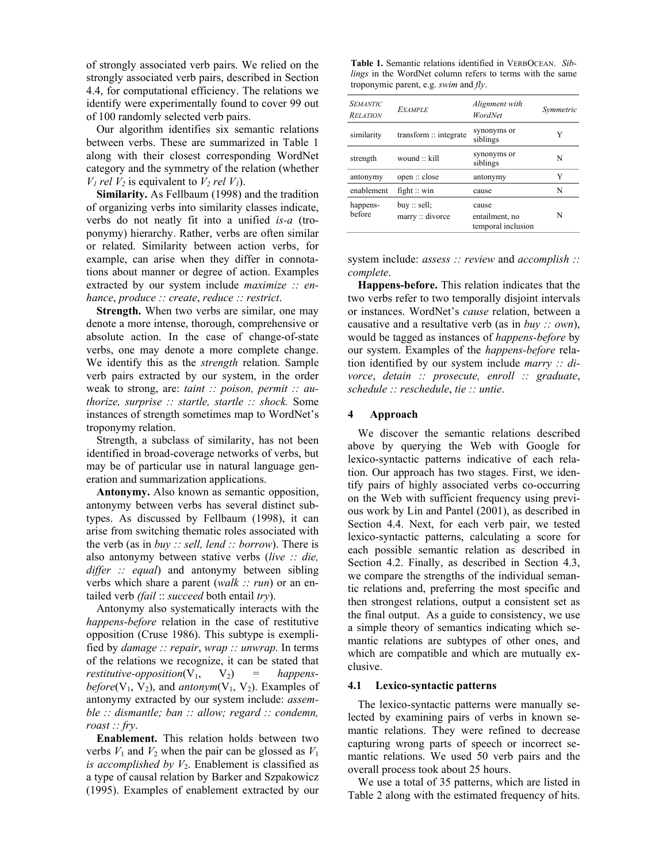of strongly associated verb pairs. We relied on the strongly associated verb pairs, described in Section 4.4, for computational efficiency. The relations we identify were experimentally found to cover 99 out of 100 randomly selected verb pairs.

Our algorithm identifies six semantic relations between verbs. These are summarized in Table 1 along with their closest corresponding WordNet category and the symmetry of the relation (whether  $V_1$  *rel*  $V_2$  is equivalent to  $V_2$  *rel*  $V_1$ ).

**Similarity.** As Fellbaum (1998) and the tradition of organizing verbs into similarity classes indicate, verbs do not neatly fit into a unified *is-a* (troponymy) hierarchy. Rather, verbs are often similar or related. Similarity between action verbs, for example, can arise when they differ in connotations about manner or degree of action. Examples extracted by our system include *maximize :: enhance*, *produce :: create*, *reduce :: restrict*.

**Strength.** When two verbs are similar, one may denote a more intense, thorough, comprehensive or absolute action. In the case of change-of-state verbs, one may denote a more complete change. We identify this as the *strength* relation. Sample verb pairs extracted by our system, in the order weak to strong, are: *taint :: poison, permit :: authorize, surprise :: startle, startle :: shock.* Some instances of strength sometimes map to WordNet's troponymy relation.

Strength, a subclass of similarity, has not been identified in broad-coverage networks of verbs, but may be of particular use in natural language generation and summarization applications.

**Antonymy.** Also known as semantic opposition, antonymy between verbs has several distinct subtypes. As discussed by Fellbaum (1998), it can arise from switching thematic roles associated with the verb (as in *buy :: sell, lend :: borrow*). There is also antonymy between stative verbs (*live :: die, differ :: equal*) and antonymy between sibling verbs which share a parent (*walk :: run*) or an entailed verb *(fail* :: *succeed* both entail *try*).

Antonymy also systematically interacts with the *happens-before* relation in the case of restitutive opposition (Cruse 1986). This subtype is exemplified by *damage :: repair*, *wrap :: unwrap*. In terms of the relations we recognize, it can be stated that *restitutive-opposition*( $V_1$ ,  $V_2$ ) = happens*before*( $V_1$ ,  $V_2$ ), and *antonym*( $V_1$ ,  $V_2$ ). Examples of antonymy extracted by our system include: *assemble :: dismantle; ban :: allow; regard :: condemn, roast :: fry*.

**Enablement.** This relation holds between two verbs  $V_1$  and  $V_2$  when the pair can be glossed as  $V_1$ *is accomplished by*  $V_2$ . Enablement is classified as a type of causal relation by Barker and Szpakowicz (1995). Examples of enablement extracted by our

**Table 1.** Semantic relations identified in VERBOCEAN. *Siblings* in the WordNet column refers to terms with the same troponymic parent, e.g. *swim* and *fly*.

| <b>SEMANTIC</b><br><b>RELATION</b> | <b>EXAMPLE</b>                  | Alignment with<br>WordNet                     | Symmetric |
|------------------------------------|---------------------------------|-----------------------------------------------|-----------|
| similarity                         | transform :: integrate          | synonyms or<br>siblings                       | Y         |
| strength                           | wound $\therefore$ kill         | synonyms or<br>siblings                       | N         |
| antonymy                           | open :: close                   | antonymy                                      | Y         |
| enablement                         | fight $\therefore$ win          | cause                                         | N         |
| happens-<br>before                 | buy :: sell;<br>marrow::divorce | cause<br>entailment, no<br>temporal inclusion | N         |

system include: *assess :: review* and *accomplish :: complete*.

**Happens-before.** This relation indicates that the two verbs refer to two temporally disjoint intervals or instances. WordNet's *cause* relation, between a causative and a resultative verb (as in *buy :: own*), would be tagged as instances of *happens-before* by our system. Examples of the *happens-before* relation identified by our system include *marry :: divorce*, *detain :: prosecute, enroll :: graduate*, *schedule :: reschedule*, *tie :: untie*.

#### **4 Approach**

We discover the semantic relations described above by querying the Web with Google for lexico-syntactic patterns indicative of each relation. Our approach has two stages. First, we identify pairs of highly associated verbs co-occurring on the Web with sufficient frequency using previous work by Lin and Pantel (2001), as described in Section 4.4. Next, for each verb pair, we tested lexico-syntactic patterns, calculating a score for each possible semantic relation as described in Section 4.2. Finally, as described in Section 4.3, we compare the strengths of the individual semantic relations and, preferring the most specific and then strongest relations, output a consistent set as the final output. As a guide to consistency, we use a simple theory of semantics indicating which semantic relations are subtypes of other ones, and which are compatible and which are mutually exclusive.

# **4.1 Lexico-syntactic patterns**

The lexico-syntactic patterns were manually selected by examining pairs of verbs in known semantic relations. They were refined to decrease capturing wrong parts of speech or incorrect semantic relations. We used 50 verb pairs and the overall process took about 25 hours.

We use a total of 35 patterns, which are listed in Table 2 along with the estimated frequency of hits.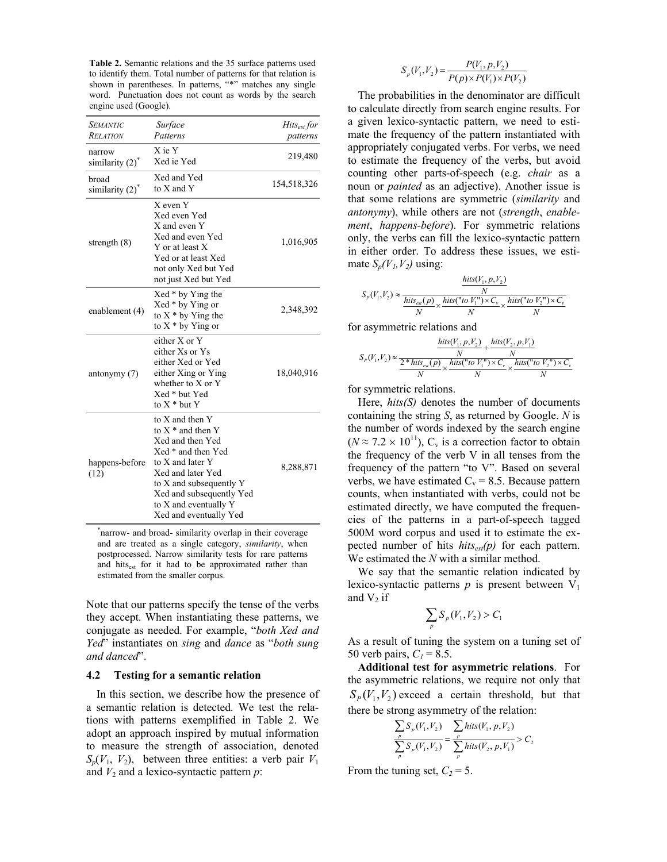**Table 2.** Semantic relations and the 35 surface patterns used to identify them. Total number of patterns for that relation is shown in parentheses. In patterns, "\*" matches any single word. Punctuation does not count as words by the search engine used (Google).

| <b>SEMANTIC</b>              | Surface                                                                                                                                                                                                                             | $Hits_{est}$ for |
|------------------------------|-------------------------------------------------------------------------------------------------------------------------------------------------------------------------------------------------------------------------------------|------------------|
| <b>RELATION</b>              | Patterns                                                                                                                                                                                                                            | patterns         |
| narrow<br>similarity $(2)^*$ | X ie Y<br>Xed ie Yed                                                                                                                                                                                                                | 219,480          |
| broad<br>similarity $(2)^*$  | Xed and Yed<br>to X and Y                                                                                                                                                                                                           | 154,518,326      |
| strength $(8)$               | X even Y<br>Xed even Yed<br>X and even Y<br>Xed and even Yed<br>Y or at least X<br>Yed or at least Xed<br>not only Xed but Yed<br>not just Xed but Yed                                                                              | 1,016,905        |
| enablement (4)               | Xed * by Ying the<br>Xed * by Ying or<br>to $X * by Ying the$<br>to $X * by Ying$ or                                                                                                                                                | 2,348,392        |
| antonymy $(7)$               | either X or Y<br>either Xs or Ys<br>either Xed or Yed<br>either Xing or Ying<br>whether to $X$ or $Y$<br>Xed * but Yed<br>to $X^*$ but Y                                                                                            | 18,040,916       |
| happens-before<br>(12)       | to X and then Y<br>to $X^*$ and then Y<br>Xed and then Yed<br>Xed * and then Yed<br>to X and later Y<br>Xed and later Yed<br>to X and subsequently Y<br>Xed and subsequently Yed<br>to X and eventually Y<br>Xed and eventually Yed | 8,288,871        |

\* narrow- and broad- similarity overlap in their coverage and are treated as a single category, *similarity*, when postprocessed. Narrow similarity tests for rare patterns and hits<sub>est</sub> for it had to be approximated rather than estimated from the smaller corpus.

Note that our patterns specify the tense of the verbs they accept. When instantiating these patterns, we conjugate as needed. For example, "both Xed and *Yed*" instantiates on *sing* and *dance* as "*both sung and danced*î.

#### **4.2 Testing for a semantic relation**

In this section, we describe how the presence of a semantic relation is detected. We test the relations with patterns exemplified in Table 2. We adopt an approach inspired by mutual information to measure the strength of association, denoted  $S_p(V_1, V_2)$ , between three entities: a verb pair  $V_1$ and  $V_2$  and a lexico-syntactic pattern  $p$ :

$$
S_p(V_1, V_2) = \frac{P(V_1, p, V_2)}{P(p) \times P(V_1) \times P(V_2)}
$$

The probabilities in the denominator are difficult to calculate directly from search engine results. For a given lexico-syntactic pattern, we need to estimate the frequency of the pattern instantiated with appropriately conjugated verbs. For verbs, we need to estimate the frequency of the verbs, but avoid counting other parts-of-speech (e.g. *chair* as a noun or *painted* as an adjective). Another issue is that some relations are symmetric (*similarity* and *antonymy*), while others are not (*strength*, *enablement*, *happens-before*). For symmetric relations only, the verbs can fill the lexico-syntactic pattern in either order. To address these issues, we estimate  $S_p(V_1, V_2)$  using:

$$
S_P(V_1, V_2) \approx \frac{\frac{hits(V_1, p, V_2)}{N}}{\frac{hits_{est}(p)}{N} \times \frac{hits("to V_1'') \times C_v}{N} \times \frac{hits("to V_2'') \times C_v}{N}}
$$

for asymmetric relations and

$$
S_P(V_1, V_2) \approx \frac{\frac{hits(V_1, p, V_2)}{N} + \frac{hits(V_2, p, V_1)}{N}}{\frac{2 * hits(\cdot p)}{N} \times \frac{hits("to V_1'') \times C_v}{N} \times \frac{hits("to V_2'') \times C_v}{N}}
$$

for symmetric relations.

Here, *hits(S)* denotes the number of documents containing the string *S*, as returned by Google. *N* is the number of words indexed by the search engine  $(N \approx 7.2 \times 10^{11})$ , C<sub>v</sub> is a correction factor to obtain the frequency of the verb V in all tenses from the frequency of the pattern "to  $V$ ". Based on several verbs, we have estimated  $C_v = 8.5$ . Because pattern counts, when instantiated with verbs, could not be estimated directly, we have computed the frequencies of the patterns in a part-of-speech tagged 500M word corpus and used it to estimate the expected number of hits  $hits_{est}(p)$  for each pattern. We estimated the *N* with a similar method.

We say that the semantic relation indicated by lexico-syntactic patterns  $p$  is present between  $V_1$ and  $V_2$  if

$$
\sum_{p} S_{p}(V_1, V_2) > C_1
$$

As a result of tuning the system on a tuning set of 50 verb pairs,  $C_1 = 8.5$ .

**Additional test for asymmetric relations**. For the asymmetric relations, we require not only that  $S_P(V_1, V_2)$  exceed a certain threshold, but that there be strong asymmetry of the relation:

$$
\frac{\sum_{p} S_{p}(V_{1}, V_{2})}{\sum_{p} S_{p}(V_{1}, V_{2})} = \frac{\sum_{p} hits(V_{1}, p, V_{2})}{\sum_{p} hits(V_{2}, p, V_{1})} > C_{2}
$$

From the tuning set,  $C_2 = 5$ .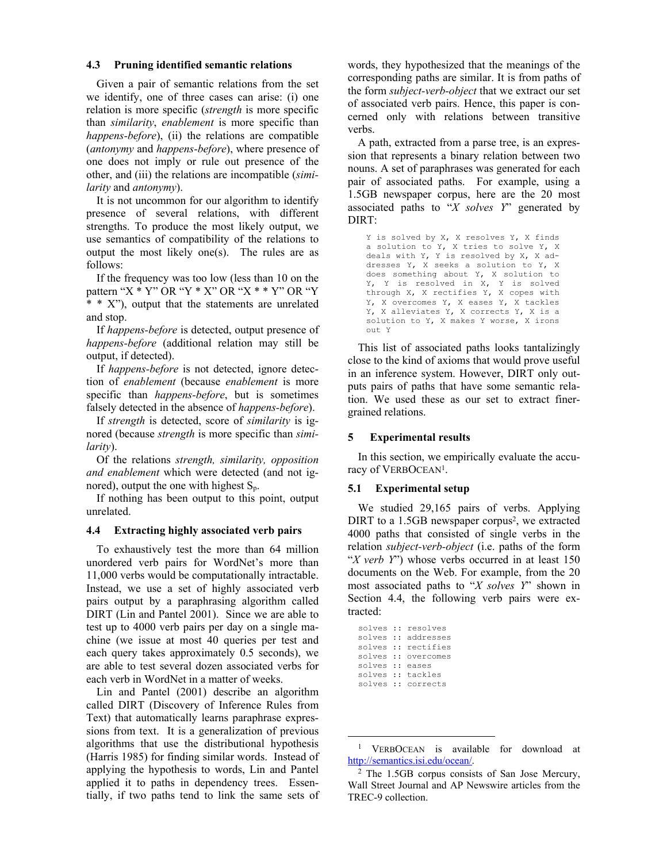#### **4.3 Pruning identified semantic relations**

Given a pair of semantic relations from the set we identify, one of three cases can arise: (i) one relation is more specific (*strength* is more specific than *similarity*, *enablement* is more specific than *happens-before*), (ii) the relations are compatible (*antonymy* and *happens-before*), where presence of one does not imply or rule out presence of the other, and (iii) the relations are incompatible (*similarity* and *antonymy*).

It is not uncommon for our algorithm to identify presence of several relations, with different strengths. To produce the most likely output, we use semantics of compatibility of the relations to output the most likely one(s). The rules are as follows:

If the frequency was too low (less than 10 on the pattern " $X * Y$ " OR " $Y * X$ " OR " $X * * Y$ " OR "Y  $*$  \* X<sup>2</sup>, output that the statements are unrelated and stop.

If *happens-before* is detected, output presence of *happens-before* (additional relation may still be output, if detected).

If *happens-before* is not detected, ignore detection of *enablement* (because *enablement* is more specific than *happens-before*, but is sometimes falsely detected in the absence of *happens-before*).

If *strength* is detected, score of *similarity* is ignored (because *strength* is more specific than *similarity*).

Of the relations *strength, similarity, opposition and enablement* which were detected (and not ignored), output the one with highest  $S_n$ .

If nothing has been output to this point, output unrelated.

## **4.4 Extracting highly associated verb pairs**

To exhaustively test the more than 64 million unordered verb pairs for WordNet's more than 11,000 verbs would be computationally intractable. Instead, we use a set of highly associated verb pairs output by a paraphrasing algorithm called DIRT (Lin and Pantel 2001). Since we are able to test up to 4000 verb pairs per day on a single machine (we issue at most 40 queries per test and each query takes approximately 0.5 seconds), we are able to test several dozen associated verbs for each verb in WordNet in a matter of weeks.

Lin and Pantel (2001) describe an algorithm called DIRT (Discovery of Inference Rules from Text) that automatically learns paraphrase expressions from text. It is a generalization of previous algorithms that use the distributional hypothesis (Harris 1985) for finding similar words. Instead of applying the hypothesis to words, Lin and Pantel applied it to paths in dependency trees. Essentially, if two paths tend to link the same sets of words, they hypothesized that the meanings of the corresponding paths are similar. It is from paths of the form *subject-verb-object* that we extract our set of associated verb pairs. Hence, this paper is concerned only with relations between transitive verbs.

A path, extracted from a parse tree, is an expression that represents a binary relation between two nouns. A set of paraphrases was generated for each pair of associated paths. For example, using a 1.5GB newspaper corpus, here are the 20 most associated paths to  $X$  *solves Y*<sup>n</sup> generated by DIRT:

Y is solved by X, X resolves Y, X finds a solution to Y, X tries to solve Y, X deals with Y, Y is resolved by X, X addresses Y, X seeks a solution to Y, X does something about Y, X solution to Y, Y is resolved in X, Y is solved through X, X rectifies Y, X copes with Y, X overcomes Y, X eases Y, X tackles Y, X alleviates Y, X corrects Y, X is a solution to Y, X makes Y worse, X irons out Y

This list of associated paths looks tantalizingly close to the kind of axioms that would prove useful in an inference system. However, DIRT only outputs pairs of paths that have some semantic relation. We used these as our set to extract finergrained relations.

# **5 Experimental results**

In this section, we empirically evaluate the accuracy of VERBOCEAN<sup>1</sup>.

## **5.1 Experimental setup**

We studied 29,165 pairs of verbs. Applying DIRT to a 1.5GB newspaper corpus<sup>2</sup>, we extracted 4000 paths that consisted of single verbs in the relation *subject-verb-object* (i.e. paths of the form *<sup>4</sup>X verb Y*<sup>n</sup>) whose verbs occurred in at least 150 documents on the Web. For example, from the 20 most associated paths to *'X solves Y*' shown in Section 4.4, the following verb pairs were extracted:

|                 | solves :: resolves  |
|-----------------|---------------------|
|                 | solves :: addresses |
|                 | solves :: rectifies |
|                 | solves :: overcomes |
| solves :: eases |                     |
|                 | solves :: tackles   |
|                 | solves :: corrects  |
|                 |                     |

 <sup>1</sup> VERBOCEAN is available for download at http://semantics.isi.edu/ocean/.<br><sup>2</sup> The 1.5GB corpus consists of San Jose Mercury,

Wall Street Journal and AP Newswire articles from the TREC-9 collection.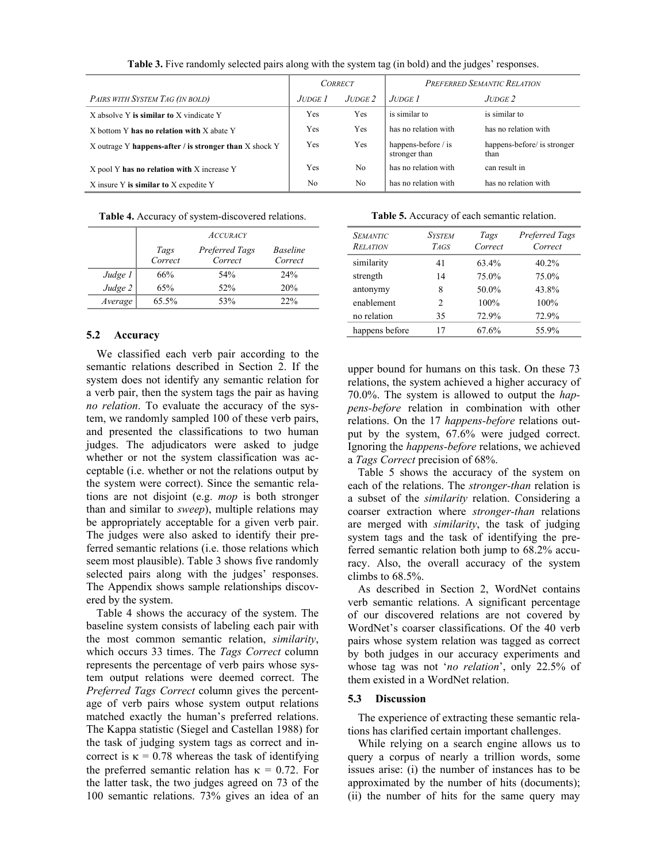|                                                        | <b>CORRECT</b> |                | PREFERRED SEMANTIC RELATION          |                                     |
|--------------------------------------------------------|----------------|----------------|--------------------------------------|-------------------------------------|
| PAIRS WITH SYSTEM TAG (IN BOLD)                        | JUDGE 1.       | $J$ UDGE $2$   | $J$ udge $I$                         | $J$ UDGE $2$                        |
| X absolve Y is similar to X vindicate Y                | Yes            | Yes            | is similar to                        | is similar to                       |
| X bottom Y has no relation with X abate Y              | Yes            | <b>Yes</b>     | has no relation with                 | has no relation with                |
| X outrage Y happens-after / is stronger than X shock Y | Yes            | Yes            | happens-before / is<br>stronger than | happens-before/ is stronger<br>than |
| X pool Y has no relation with X increase Y             | Yes            | N <sub>0</sub> | has no relation with                 | can result in                       |
| X insure Y is similar to X expedite Y                  | No             | N <sub>0</sub> | has no relation with                 | has no relation with                |

**Table 3.** Five randomly selected pairs along with the system tag (in bold) and the judges' responses.

**Table 4.** Accuracy of system-discovered relations.

|           | <b>ACCURACY</b> |                           |                            |  |
|-----------|-----------------|---------------------------|----------------------------|--|
|           | Tags<br>Correct | Preferred Tags<br>Correct | <b>Baseline</b><br>Correct |  |
| Judge 1   | 66%             | 54%                       | $2.4\%$                    |  |
| $Judge$ 2 | 65%             | 52%                       | 20%                        |  |
| Average   | 65.5%           | 53%                       | 22%                        |  |

# **5.2 Accuracy**

We classified each verb pair according to the semantic relations described in Section 2. If the system does not identify any semantic relation for a verb pair, then the system tags the pair as having *no relation*. To evaluate the accuracy of the system, we randomly sampled 100 of these verb pairs, and presented the classifications to two human judges. The adjudicators were asked to judge whether or not the system classification was acceptable (i.e. whether or not the relations output by the system were correct). Since the semantic relations are not disjoint (e.g. *mop* is both stronger than and similar to *sweep*), multiple relations may be appropriately acceptable for a given verb pair. The judges were also asked to identify their preferred semantic relations (i.e. those relations which seem most plausible). Table 3 shows five randomly selected pairs along with the judges' responses. The Appendix shows sample relationships discovered by the system.

Table 4 shows the accuracy of the system. The baseline system consists of labeling each pair with the most common semantic relation, *similarity*, which occurs 33 times. The *Tags Correct* column represents the percentage of verb pairs whose system output relations were deemed correct. The *Preferred Tags Correct* column gives the percentage of verb pairs whose system output relations matched exactly the human's preferred relations. The Kappa statistic (Siegel and Castellan 1988) for the task of judging system tags as correct and incorrect is  $\kappa = 0.78$  whereas the task of identifying the preferred semantic relation has  $\kappa = 0.72$ . For the latter task, the two judges agreed on 73 of the 100 semantic relations. 73% gives an idea of an

**Table 5.** Accuracy of each semantic relation.

| <b>SEMANTIC</b><br><b>RELATION</b> | <b>SYSTEM</b><br><b>TAGS</b> | Tags<br>Correct | Preferred Tags<br>Correct |
|------------------------------------|------------------------------|-----------------|---------------------------|
| similarity                         | 41                           | 63.4%           | $40.2\%$                  |
| strength                           | 14                           | 75.0%           | 75.0%                     |
| antonymy                           | 8                            | 50.0%           | 43.8%                     |
| enablement                         | 2                            | 100%            | 100%                      |
| no relation                        | 35                           | 72.9%           | 72.9%                     |
| happens before                     | 17                           | 67.6%           | 55.9%                     |

upper bound for humans on this task. On these 73 relations, the system achieved a higher accuracy of 70.0%. The system is allowed to output the *happens-before* relation in combination with other relations. On the 17 *happens-before* relations output by the system, 67.6% were judged correct. Ignoring the *happens-before* relations, we achieved a *Tags Correct* precision of 68%.

Table 5 shows the accuracy of the system on each of the relations. The *stronger-than* relation is a subset of the *similarity* relation. Considering a coarser extraction where *stronger-than* relations are merged with *similarity*, the task of judging system tags and the task of identifying the preferred semantic relation both jump to 68.2% accuracy. Also, the overall accuracy of the system climbs to 68.5%.

As described in Section 2, WordNet contains verb semantic relations. A significant percentage of our discovered relations are not covered by WordNet's coarser classifications. Of the 40 verb pairs whose system relation was tagged as correct by both judges in our accuracy experiments and whose tag was not 'no relation', only 22.5% of them existed in a WordNet relation.

# **5.3 Discussion**

The experience of extracting these semantic relations has clarified certain important challenges.

While relying on a search engine allows us to query a corpus of nearly a trillion words, some issues arise: (i) the number of instances has to be approximated by the number of hits (documents); (ii) the number of hits for the same query may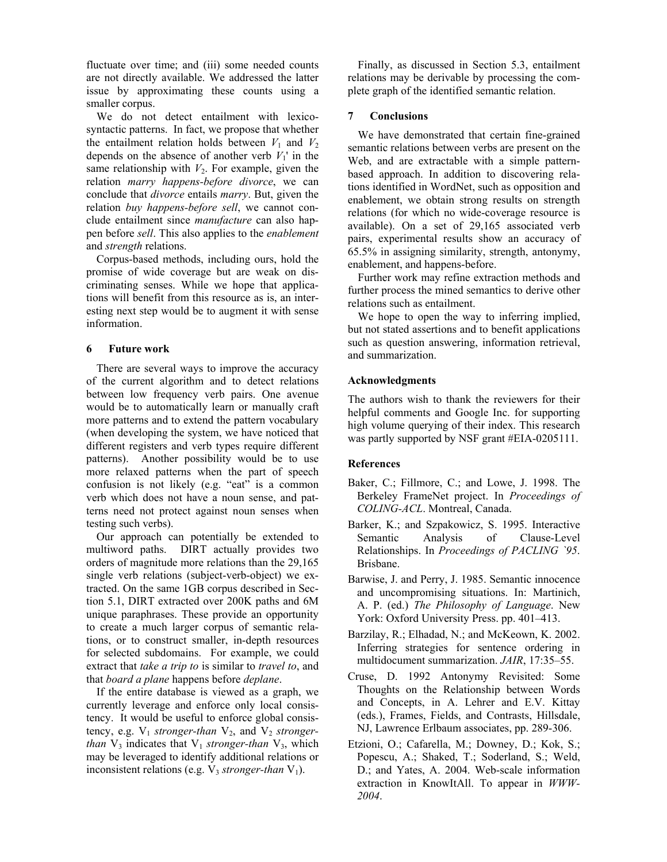fluctuate over time; and (iii) some needed counts are not directly available. We addressed the latter issue by approximating these counts using a smaller corpus.

We do not detect entailment with lexicosyntactic patterns. In fact, we propose that whether the entailment relation holds between  $V_1$  and  $V_2$ depends on the absence of another verb  $V_1$ <sup>'</sup> in the same relationship with  $V_2$ . For example, given the relation *marry happens-before divorce*, we can conclude that *divorce* entails *marry*. But, given the relation *buy happens-before sell*, we cannot conclude entailment since *manufacture* can also happen before *sell*. This also applies to the *enablement* and *strength* relations.

Corpus-based methods, including ours, hold the promise of wide coverage but are weak on discriminating senses. While we hope that applications will benefit from this resource as is, an interesting next step would be to augment it with sense information.

# **6 Future work**

There are several ways to improve the accuracy of the current algorithm and to detect relations between low frequency verb pairs. One avenue would be to automatically learn or manually craft more patterns and to extend the pattern vocabulary (when developing the system, we have noticed that different registers and verb types require different patterns). Another possibility would be to use more relaxed patterns when the part of speech confusion is not likely (e.g. "eat" is a common verb which does not have a noun sense, and patterns need not protect against noun senses when testing such verbs).

Our approach can potentially be extended to multiword paths. DIRT actually provides two orders of magnitude more relations than the 29,165 single verb relations (subject-verb-object) we extracted. On the same 1GB corpus described in Section 5.1, DIRT extracted over 200K paths and 6M unique paraphrases. These provide an opportunity to create a much larger corpus of semantic relations, or to construct smaller, in-depth resources for selected subdomains. For example, we could extract that *take a trip to* is similar to *travel to*, and that *board a plane* happens before *deplane*.

If the entire database is viewed as a graph, we currently leverage and enforce only local consistency. It would be useful to enforce global consistency, e.g.  $V_1$  *stronger-than*  $V_2$ , and  $V_2$  *strongerthan*  $V_3$  indicates that  $V_1$  *stronger-than*  $V_3$ , which may be leveraged to identify additional relations or inconsistent relations (e.g.  $V_3$  *stronger-than*  $V_1$ ).

Finally, as discussed in Section 5.3, entailment relations may be derivable by processing the complete graph of the identified semantic relation.

#### **7 Conclusions**

We have demonstrated that certain fine-grained semantic relations between verbs are present on the Web, and are extractable with a simple patternbased approach. In addition to discovering relations identified in WordNet, such as opposition and enablement, we obtain strong results on strength relations (for which no wide-coverage resource is available). On a set of 29,165 associated verb pairs, experimental results show an accuracy of 65.5% in assigning similarity, strength, antonymy, enablement, and happens-before.

Further work may refine extraction methods and further process the mined semantics to derive other relations such as entailment.

We hope to open the way to inferring implied, but not stated assertions and to benefit applications such as question answering, information retrieval, and summarization.

#### **Acknowledgments**

The authors wish to thank the reviewers for their helpful comments and Google Inc. for supporting high volume querying of their index. This research was partly supported by NSF grant #EIA-0205111.

## **References**

- Baker, C.; Fillmore, C.; and Lowe, J. 1998. The Berkeley FrameNet project. In *Proceedings of COLING-ACL*. Montreal, Canada.
- Barker, K.; and Szpakowicz, S. 1995. Interactive Semantic Analysis of Clause-Level Relationships. In *Proceedings of PACLING `95*. Brisbane.
- Barwise, J. and Perry, J. 1985. Semantic innocence and uncompromising situations. In: Martinich, A. P. (ed.) *The Philosophy of Language*. New York: Oxford University Press. pp. 401–413.
- Barzilay, R.; Elhadad, N.; and McKeown, K. 2002. Inferring strategies for sentence ordering in multidocument summarization. *JAIR*, 17:35–55.
- Cruse, D. 1992 Antonymy Revisited: Some Thoughts on the Relationship between Words and Concepts, in A. Lehrer and E.V. Kittay (eds.), Frames, Fields, and Contrasts, Hillsdale, NJ, Lawrence Erlbaum associates, pp. 289-306.
- Etzioni, O.; Cafarella, M.; Downey, D.; Kok, S.; Popescu, A.; Shaked, T.; Soderland, S.; Weld, D.; and Yates, A. 2004. Web-scale information extraction in KnowItAll. To appear in *WWW-2004*.